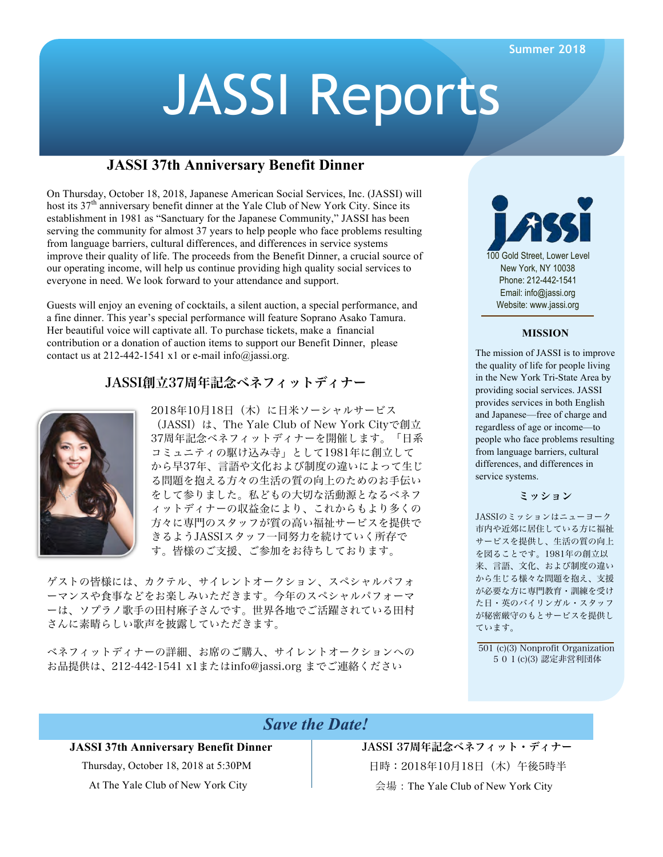# JASSI Reports

# **JASSI 37th Anniversary Benefit Dinner**

On Thursday, October 18, 2018, Japanese American Social Services, Inc. (JASSI) will host its  $37<sup>th</sup>$  anniversary benefit dinner at the Yale Club of New York City. Since its establishment in 1981 as "Sanctuary for the Japanese Community," JASSI has been serving the community for almost 37 years to help people who face problems resulting from language barriers, cultural differences, and differences in service systems improve their quality of life. The proceeds from the Benefit Dinner, a crucial source of our operating income, will help us continue providing high quality social services to everyone in need. We look forward to your attendance and support.

Guests will enjoy an evening of cocktails, a silent auction, a special performance, and a fine dinner. This year's special performance will feature Soprano Asako Tamura. Her beautiful voice will captivate all. To purchase tickets, make a financial contribution or a donation of auction items to support our Benefit Dinner, please contact us at 212-442-1541 x1 or e-mail info@jassi.org.

# JASSI創立37周年記念ベネフィットディナー



2018年10月18日(木)に日米ソーシャルサービス (JASSI)は、The Yale Club of New York Cityで創立 37周年記念ベネフィットディナーを開催します。「日系 コミュニティの駆け込み寺」として1981年に創立して から早37年、言語や文化および制度の違いによって生じ る問題を抱える方々の生活の質の向上のためのお手伝い をして参りました。私どもの大切な活動源となるベネフ ィットディナーの収益金により、これからもより多くの 方々に専門のスタッフが質の高い福祉サービスを提供で きるようJASSIスタッフ一同努力を続けていく所存で す。皆様のご支援、ご参加をお待ちしております。

ゲストの皆様には、カクテル、サイレントオークション、スペシャルパフォ ーマンスや食事などをお楽しみいただきます。今年のスペシャルパフォーマ ーは、ソプラノ歌手の田村麻子さんです。世界各地でご活躍されている田村 さんに素晴らしい歌声を披露していただきます。

ベネフィットディナーの詳細、お席のご購入、サイレントオークションへの お品提供は、212-442-1541 x1またはinfo@jassi.org までご連絡ください



#### **MISSION**

The mission of JASSI is to improve the quality of life for people living in the New York Tri-State Area by providing social services. JASSI provides services in both English and Japanese—free of charge and regardless of age or income—to people who face problems resulting from language barriers, cultural differences, and differences in service systems.

#### ミッション

JASSIのミッションはニューヨーク 市内や近郊に居住している方に福祉 サービスを提供し、生活の質の向上 を図ることです。1981年の創立以 来、言語、文化、および制度の違い から生じる様々な問題を抱え、支援 が必要な方に専門教育・訓練を受け た日・英のバイリンガル・スタッフ が秘密厳守のもとサービスを提供し ています。

501 (c)(3) Nonprofit Organization 501(c)(3) 認定非営利団体

# *Save the Date!*

# **JASSI 37th Anniversary Benefit Dinner**

Thursday, October 18, 2018 at 5:30PM At The Yale Club of New York City

JASSI 37周年記念ベネフィット・ディナー 日時:2018年10月18日(木)午後5時半 会場:The Yale Club of New York City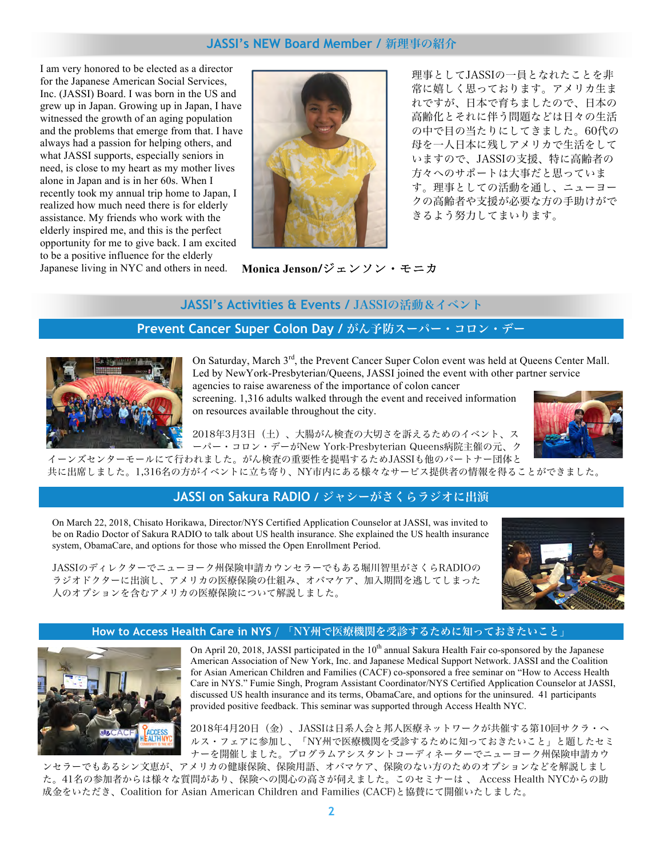# **JASSI's NEW Board Member /** 新理事の紹介

I am very honored to be elected as a director for the Japanese American Social Services, Inc. (JASSI) Board. I was born in the US and grew up in Japan. Growing up in Japan, I have witnessed the growth of an aging population and the problems that emerge from that. I have always had a passion for helping others, and what JASSI supports, especially seniors in need, is close to my heart as my mother lives alone in Japan and is in her 60s. When I recently took my annual trip home to Japan, I realized how much need there is for elderly assistance. My friends who work with the elderly inspired me, and this is the perfect opportunity for me to give back. I am excited to be a positive influence for the elderly Japanese living in NYC and others in need. **Monica Jenson/**ジェンソン・モニカ 



理事としてJASSIの一員となれたことを非 常に嬉しく思っております。アメリカ生ま れですが、日本で育ちましたので、日本の 高齢化とそれに伴う問題などは日々の生活 の中で目の当たりにしてきました。60代の 母を一人日本に残しアメリカで生活をして いますので、JASSIの支援、特に高齢者の 方々へのサポートは大事だと思っていま す。理事としての活動を通し、ニューヨー クの高齢者や支援が必要な方の手助けがで きるよう努力してまいります。

# **JASSI's Activities & Events /** JASSIの活動&イベント

# **Prevent Cancer Super Colon Day /** がん予防スーパー・コロン・デー



On Saturday, March 3<sup>rd</sup>, the Prevent Cancer Super Colon event was held at Queens Center Mall. Led by NewYork-Presbyterian/Queens, JASSI joined the event with other partner service agencies to raise awareness of the importance of colon cancer

screening. 1,316 adults walked through the event and received information on resources available throughout the city.

2018年3月3日(土)、大腸がん検査の大切さを訴えるためのイベント、ス



ーパー・コロン・デーがNew York-Presbyterian Queens病院主催の元、ク

イーンズセンターモールにて行われました。がん検査の重要性を提唱するためJASSIも他のパートナー団体と 共に出席しました。1,316名の方がイベントに立ち寄り、NY市内にある様々なサービス提供者の情報を得ることができました。

# **JASSI on Sakura RADIO /** ジャシーがさくらラジオに出演

On March 22, 2018, Chisato Horikawa, Director/NYS Certified Application Counselor at JASSI, was invited to be on Radio Doctor of Sakura RADIO to talk about US health insurance. She explained the US health insurance system, ObamaCare, and options for those who missed the Open Enrollment Period.



JASSIのディレクターでニューヨーク州保険申請カウンセラーでもある堀川智里がさくらRADIOの ラジオドクターに出演し、アメリカの医療保険の仕組み、オバマケア、加入期間を逃してしまった 人のオプションを含むアメリカの医療保険について解説しました。

#### **How to Access Health Care in NYS** / 「NY州で医療機関を受診するために知っておきたいこと」



On April 20, 2018, JASSI participated in the  $10<sup>th</sup>$  annual Sakura Health Fair co-sponsored by the Japanese American Association of New York, Inc. and Japanese Medical Support Network. JASSI and the Coalition for Asian American Children and Families (CACF) co-sponsored a free seminar on "How to Access Health Care in NYS." Fumie Singh, Program Assistant Coordinator/NYS Certified Application Counselor at JASSI, discussed US health insurance and its terms, ObamaCare, and options for the uninsured. 41 participants provided positive feedback. This seminar was supported through Access Health NYC.

2018年4月20日(金)、JASSIは日系人会と邦人医療ネットワークが共催する第10回サクラ・ヘ ルス・フェアに参加し、「NY州で医療機関を受診するために知っておきたいこと」と題したセミ ナーを開催しました。プログラムアシスタントコーディネーターでニューヨーク州保険申請カウ

ンセラーでもあるシン文恵が、アメリカの健康保険、保険用語、オバマケア、保険のない方のためのオプションなどを解説しまし た。41名の参加者からは様々な質問があり、保険への関心の高さが伺えました。このセミナーは 、 Access Health NYCからの助 成金をいただき、Coalition for Asian American Children and Families (CACF)と協賛にて開催いたしました。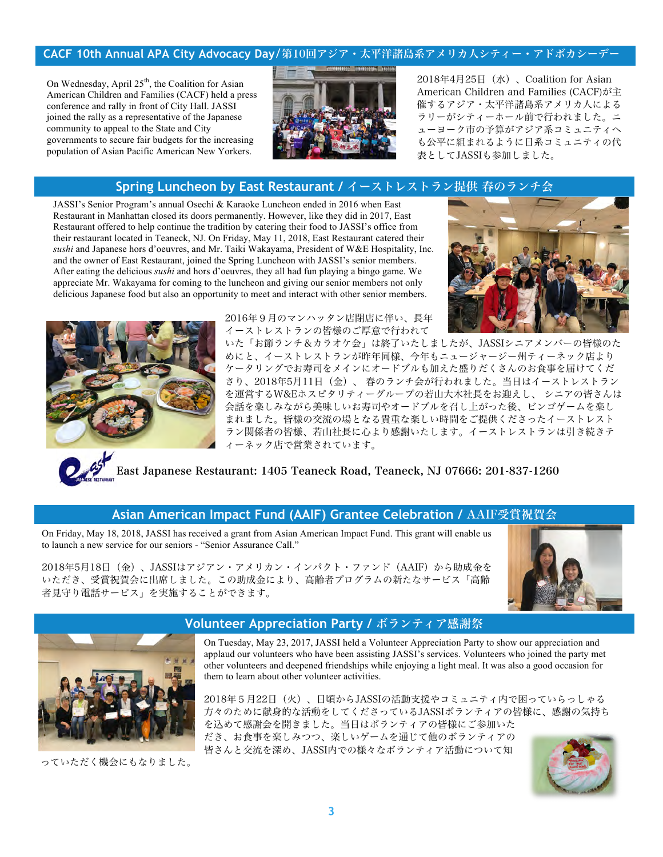# **CACF 10th Annual APA City Advocacy Day**/第10回アジア・太平洋諸島系アメリカ人シティー・アドボカシーデー

On Wednesday, April 25<sup>th</sup>, the Coalition for Asian American Children and Families (CACF) held a press conference and rally in front of City Hall. JASSI joined the rally as a representative of the Japanese community to appeal to the State and City governments to secure fair budgets for the increasing population of Asian Pacific American New Yorkers.



2018年4月25日(水)、Coalition for Asian American Children and Families (CACF)が主 催するアジア・太平洋諸島系アメリカ人による ラリーがシティーホール前で行われました。ニ ューヨーク市の予算がアジア系コミュニティへ も公平に組まれるように日系コミュニティの代 表としてJASSIも参加しました。

# **Spring Luncheon by East Restaurant /** イーストレストラン提供 春のランチ会

JASSI's Senior Program's annual Osechi & Karaoke Luncheon ended in 2016 when East Restaurant in Manhattan closed its doors permanently. However, like they did in 2017, East Restaurant offered to help continue the tradition by catering their food to JASSI's office from their restaurant located in Teaneck, NJ. On Friday, May 11, 2018, East Restaurant catered their *sushi* and Japanese hors d'oeuvres, and Mr. Taiki Wakayama, President of W&E Hospitality, Inc. and the owner of East Restaurant, joined the Spring Luncheon with JASSI's senior members. After eating the delicious *sushi* and hors d'oeuvres, they all had fun playing a bingo game. We appreciate Mr. Wakayama for coming to the luncheon and giving our senior members not only delicious Japanese food but also an opportunity to meet and interact with other senior members.





2016年9月のマンハッタン店閉店に伴い、長年 イーストレストランの皆様のご厚意で行われて

いた「お節ランチ&カラオケ会」は終了いたしましたが、JASSIシニアメンバーの皆様のた めにと、イーストレストランが昨年同様、今年もニュージャージー州ティーネック店より ケータリングでお寿司をメインにオードブルも加えた盛りだくさんのお食事を届けてくだ さり、2018年5月11日(金)、 春のランチ会が行われました。当日はイーストレストラン を運営するW&Eホスピタリティーグループの若山大木社長をお迎えし、 シニアの皆さんは 会話を楽しみながら美味しいお寿司やオードブルを召し上がった後、ビンゴゲームを楽し まれました。皆様の交流の場となる貴重な楽しい時間をご提供くださったイーストレスト ラン関係者の皆様、若山社長に心より感謝いたします。イーストレストランは引き続きテ ィーネック店で営業されています。

East Japanese Restaurant: 1405 Teaneck Road, Teaneck, NJ 07666: 201-837-1260

# **Asian American Impact Fund (AAIF) Grantee Celebration /** AAIF受賞祝賀会

On Friday, May 18, 2018, JASSI has received a grant from Asian American Impact Fund. This grant will enable us to launch a new service for our seniors - "Senior Assurance Call."

2018年5月18日 (金)、JASSIはアジアン・アメリカン・インパクト・ファンド (AAIF) から助成金を いただき、受賞祝賀会に出席しました。この助成金により、高齢者プログラムの新たなサービス「高齢 者見守り電話サービス」を実施することができます。





っていただく機会にもなりました。

# **Volunteer Appreciation Party /** ボランティア感謝祭

On Tuesday, May 23, 2017, JASSI held a Volunteer Appreciation Party to show our appreciation and applaud our volunteers who have been assisting JASSI's services. Volunteers who joined the party met other volunteers and deepened friendships while enjoying a light meal. It was also a good occasion for them to learn about other volunteer activities.

2018年5月22日(火)、日頃からJASSIの活動支援やコミュニティ内で困っていらっしゃる 方々のために献身的な活動をしてくださっているJASSIボランティアの皆様に、感謝の気持ち を込めて感謝会を開きました。当日はボランティアの皆様にご参加いた だき、お食事を楽しみつつ、楽しいゲームを通じて他のボランティアの 皆さんと交流を深め、JASSI内での様々なボランティア活動について知

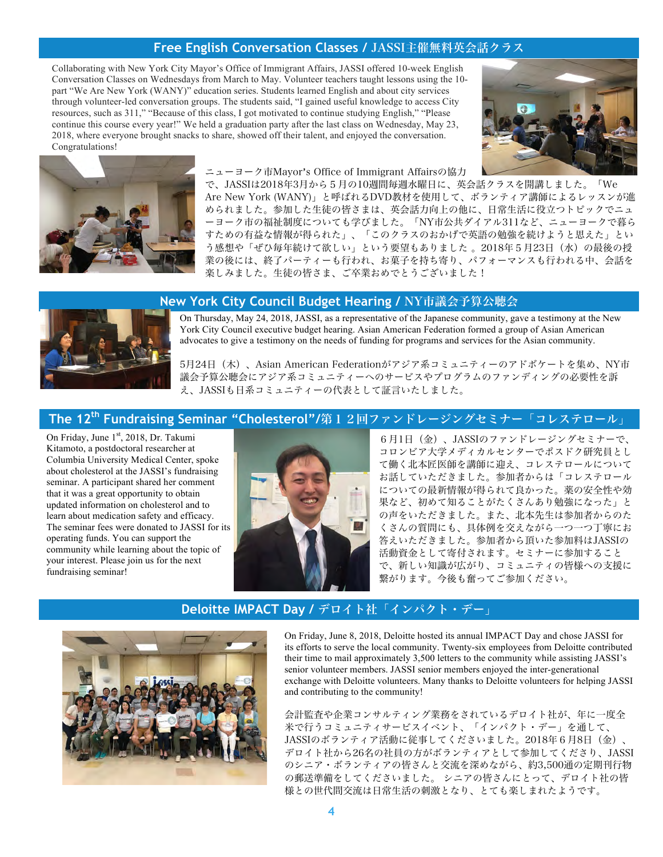# **Free English Conversation Classes /** JASSI主催無料英会話クラス

Collaborating with New York City Mayor's Office of Immigrant Affairs, JASSI offered 10-week English Conversation Classes on Wednesdays from March to May. Volunteer teachers taught lessons using the 10 part "We Are New York (WANY)" education series. Students learned English and about city services through volunteer-led conversation groups. The students said, "I gained useful knowledge to access City resources, such as 311," "Because of this class, I got motivated to continue studying English," "Please continue this course every year!" We held a graduation party after the last class on Wednesday, May 23, 2018, where everyone brought snacks to share, showed off their talent, and enjoyed the conversation. Congratulations!





#### ニューヨーク市Mayor's Office of Immigrant Affairsの協力

で、JASSIは2018年3月から5月の10週間毎週水曜日に、英会話クラスを開講しました。「We Are New York (WANY)」と呼ばれるDVD教材を使用して、ボランティア講師によるレッスンが進 められました。参加した生徒の皆さまは、英会話力向上の他に、日常生活に役立つトピックでニュ ーヨーク市の福祉制度についても学びました。「NY市公共ダイアル311など、ニューヨークで暮ら すための有益な情報が得られた」、「このクラスのおかげで英語の勉強を続けようと思えた」とい う感想や「ぜひ毎年続けて欲しい」という要望もありました 。2018年5月23日(水)の最後の授 業の後には、終了パーティーも行われ、お菓子を持ち寄り、パフォーマンスも行われる中、会話を 楽しみました。生徒の皆さま、ご卒業おめでとうございました!

#### **New York City Council Budget Hearing /** NY市議会予算公聴会



On Thursday, May 24, 2018, JASSI, as a representative of the Japanese community, gave a testimony at the New York City Council executive budget hearing. Asian American Federation formed a group of Asian American advocates to give a testimony on the needs of funding for programs and services for the Asian community.

5月24日(木)、Asian American Federationがアジア系コミュニティーのアドボケートを集め、NY市 議会予算公聴会にアジア系コミュニティーへのサービスやプログラムのファンディングの必要性を訴 え、JASSIも日系コミュニティーの代表として証言いたしました。

# **The 12<sup>th</sup> Fundraising Seminar "Cholesterol"/第12回ファンドレージングセミナー「コレステロール」**

On Friday, June 1<sup>st</sup>, 2018, Dr. Takumi Kitamoto, a postdoctoral researcher at Columbia University Medical Center, spoke about cholesterol at the JASSI's fundraising seminar. A participant shared her comment that it was a great opportunity to obtain updated information on cholesterol and to learn about medication safety and efficacy. The seminar fees were donated to JASSI for its operating funds. You can support the community while learning about the topic of your interest. Please join us for the next fundraising seminar!



6月1日(金)、JASSIのファンドレージングセミナーで、 コロンビア大学メディカルセンターでポスドク研究員とし て働く北本匠医師を講師に迎え、コレステロールについて お話していただきました。参加者からは「コレステロール についての最新情報が得られて良かった。薬の安全性や効 果など、初めて知ることがたくさんあり勉強になった」と の声をいただきました。また、北本先生は参加者からのた くさんの質問にも、具体例を交えながら一つ一つ丁寧にお 答えいただきました。参加者から頂いた参加料はJASSIの 活動資金として寄付されます。セミナーに参加すること で、新しい知識が広がり、コミュニティの皆様への支援に 繋がります。今後も奮ってご参加ください。

#### **Deloitte IMPACT Day /** デロイト社「インパクト・デー」



On Friday, June 8, 2018, Deloitte hosted its annual IMPACT Day and chose JASSI for its efforts to serve the local community. Twenty-six employees from Deloitte contributed their time to mail approximately 3,500 letters to the community while assisting JASSI's senior volunteer members. JASSI senior members enjoyed the inter-generational exchange with Deloitte volunteers. Many thanks to Deloitte volunteers for helping JASSI and contributing to the community!

会計監査や企業コンサルティング業務をされているデロイト社が、年に一度全 米で行うコミュニティサービスイベント、「インパクト・デー」を通して、 JASSIのボランティア活動に従事してくださいました。2018年6月8日(金)、 デロイト社から26名の社員の方がボランティアとして参加してくださり、JASSI のシニア・ボランティアの皆さんと交流を深めながら、約3,500通の定期刊行物 の郵送準備をしてくださいました。 シニアの皆さんにとって、デロイト社の皆 様との世代間交流は日常生活の刺激となり、とても楽しまれたようです。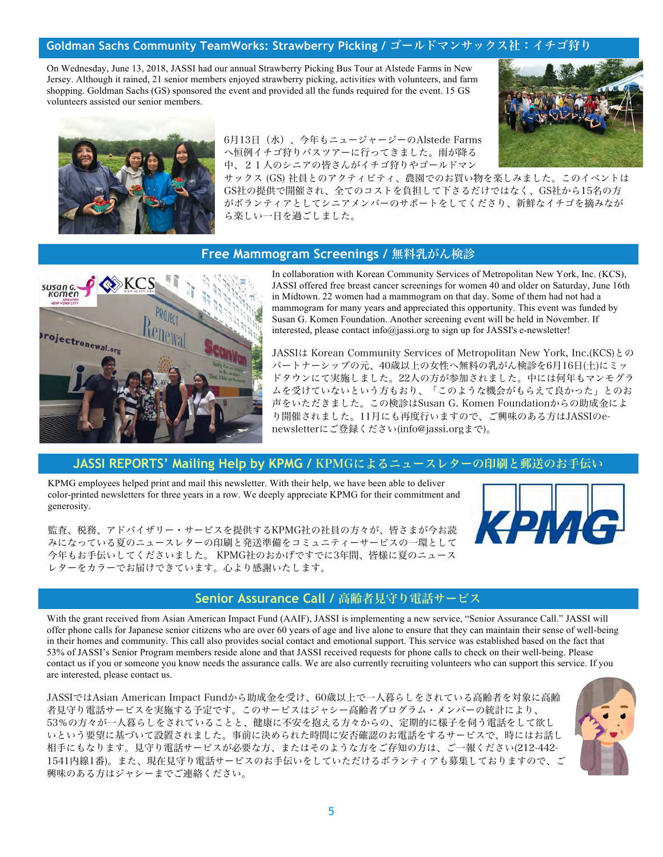## **Goldman Sachs Community TeamWorks: Strawberry Picking /** ゴールドマンサックス社:イチゴ狩り

On Wednesday, June 13, 2018, JASSI had our annual Strawberry Picking Bus Tour at Alstede Farms in New Jersey. Although it rained, 21 senior members enjoyed strawberry picking, activities with volunteers, and farm shopping. Goldman Sachs (GS) sponsored the event and provided all the funds required for the event. 15 GS volunteers assisted our senior members.





6月13日(水)、今年もニュージャージーのAlstede Farms へ恒例イチゴ狩りバスツアーに行ってきました。雨が降る 中、21人のシニアの皆さんがイチゴ狩りやゴールドマン

サックス (GS) 社員とのアクティビティ、農園でのお買い物を楽しみました。このイベントは GS社の提供で開催され、全てのコストを負担して下さるだけではなく、GS社から15名の方 がボランティアとしてシニアメンバーのサポートをしてくださり、新鮮なイチゴを摘みなが ら楽しい一日を過ごしました。

#### **Free Mammogram Screenings /** 無料乳がん検診



In collaboration with Korean Community Services of Metropolitan New York, Inc. (KCS), JASSI offered free breast cancer screenings for women 40 and older on Saturday, June 16th in Midtown. 22 women had a mammogram on that day. Some of them had not had a mammogram for many years and appreciated this opportunity. This event was funded by Susan G. Komen Foundation. Another screening event will be held in November. If interested, please contact info@jassi.org to sign up for JASSI's e-newsletter!

JASSIは Korean Community Services of Metropolitan New York, Inc.(KCS)との パートナーシップの元、40歳以上の女性へ無料の乳がん検診を6月16日(土)にミッ ドタウンにて実施しました。22人の方が参加されました。中には何年もマンモグラ ムを受けていないという方もおり、「このような機会がもらえて良かった」とのお 声をいただきました。この検診はSusan G. Komen Foundationからの助成金によ り開催されました。11月にも再度行いますので、ご興味のある方はJASSIのenewsletterにご登録ください(info@jassi.orgまで)。

#### **JASSI REPORTS' Mailing Help by KPMG /** KPMGによるニュースレターの印刷と郵送のお手伝い

KPMG employees helped print and mail this newsletter. With their help, we have been able to deliver color-printed newsletters for three years in a row. We deeply appreciate KPMG for their commitment and generosity.

監査、税務、アドバイザリー・サービスを提供するKPMG社の社員の方々が、皆さまが今お読 みになっている夏のニュースレターの印刷と発送準備をコミュニティーサービスの一環として 今年もお手伝いしてくださいました。 KPMG社のおかげですでに3年間、皆様に夏のニュース レターをカラーでお届けできています。心より感謝いたします。



#### **Senior Assurance Call /** 高齢者見守り電話サービス

With the grant received from Asian American Impact Fund (AAIF), JASSI is implementing a new service, "Senior Assurance Call." JASSI will offer phone calls for Japanese senior citizens who are over 60 years of age and live alone to ensure that they can maintain their sense of well-being in their homes and community. This call also provides social contact and emotional support. This service was established based on the fact that 53% of JASSI's Senior Program members reside alone and that JASSI received requests for phone calls to check on their well-being. Please contact us if you or someone you know needs the assurance calls. We are also currently recruiting volunteers who can support this service. If you are interested, please contact us.

JASSIではAsian American Impact Fundから助成金を受け、60歳以上で一人暮らしをされている高齢者を対象に高齢 者見守り電話サービスを実施する予定です。このサービスはジャシー高齢者プログラム・メンバーの統計により、 53%の方々が一人暮らしをされていることと、健康に不安を抱える方々からの、定期的に様子を伺う電話をして欲し いという要望に基づいて設置されました。事前に決められた時間に安否確認のお電話をするサービスで、時にはお話し 相手にもなります。見守り電話サービスが必要な方、またはそのような方をご存知の方は、ご一報ください(212-442- 1541内線1番)。また、現在見守り電話サービスのお手伝いをしていただけるボランティアも募集しておりますので、こ 興味のある方はジャシーまでご連絡ください。

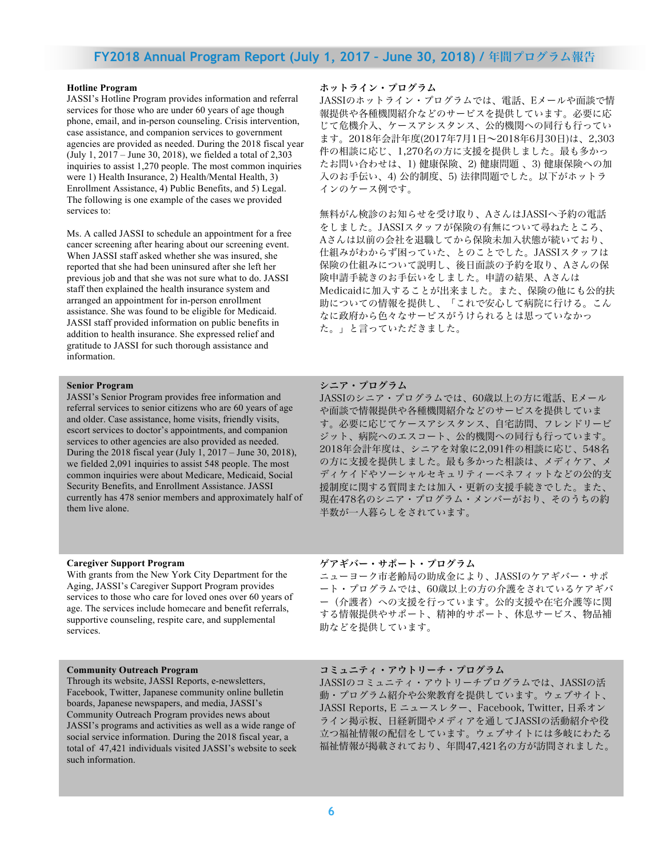# **FY2018 Annual Program Report (July 1, 2017 – June 30, 2018) /** 年間プログラム報告

#### **Hotline Program**

JASSI's Hotline Program provides information and referral services for those who are under 60 years of age though phone, email, and in-person counseling. Crisis intervention, case assistance, and companion services to government agencies are provided as needed. During the 2018 fiscal year (July 1, 2017 – June 30, 2018), we fielded a total of 2,303 inquiries to assist 1,270 people. The most common inquiries were 1) Health Insurance, 2) Health/Mental Health, 3) Enrollment Assistance, 4) Public Benefits, and 5) Legal. The following is one example of the cases we provided services to:

Ms. A called JASSI to schedule an appointment for a free cancer screening after hearing about our screening event. When JASSI staff asked whether she was insured, she reported that she had been uninsured after she left her previous job and that she was not sure what to do. JASSI staff then explained the health insurance system and arranged an appointment for in-person enrollment assistance. She was found to be eligible for Medicaid. JASSI staff provided information on public benefits in addition to health insurance. She expressed relief and gratitude to JASSI for such thorough assistance and information.

#### **Senior Program**

JASSI's Senior Program provides free information and referral services to senior citizens who are 60 years of age and older. Case assistance, home visits, friendly visits, escort services to doctor's appointments, and companion services to other agencies are also provided as needed. During the 2018 fiscal year (July 1, 2017 – June 30, 2018), we fielded 2,091 inquiries to assist 548 people. The most common inquiries were about Medicare, Medicaid, Social Security Benefits, and Enrollment Assistance. JASSI currently has 478 senior members and approximately half of them live alone.

#### **Caregiver Support Program**

With grants from the New York City Department for the Aging, JASSI's Caregiver Support Program provides services to those who care for loved ones over 60 years of age. The services include homecare and benefit referrals, supportive counseling, respite care, and supplemental services.

#### **Community Outreach Program**

Through its website, JASSI Reports, e-newsletters, Facebook, Twitter, Japanese community online bulletin boards, Japanese newspapers, and media, JASSI's Community Outreach Program provides news about JASSI's programs and activities as well as a wide range of social service information. During the 2018 fiscal year, a total of 47,421 individuals visited JASSI's website to seek such information.

#### ホットライン・プログラム

JASSIのホットライン・プログラムでは、電話、Eメールや面談で情 報提供や各種機関紹介などのサービスを提供しています。必要に応 じて危機介入、ケースアシスタンス、公的機関への同行も行ってい ます。2018年会計年度(2017年7月1日~2018年6月30日)は、2,303 件の相談に応じ、1,270名の方に支援を提供しました。最も多かっ たお問い合わせは、1) 健康保険、2) 健康問題 、3) 健康保険への加 入のお手伝い、4) 公的制度、5) 法律問題でした。以下がホットラ インのケース例です。

無料がん検診のお知らせを受け取り、AさんはJASSIへ予約の電話 をしました。JASSIスタッフが保険の有無について尋ねたところ、 Aさんは以前の会社を退職してから保険未加入状態が続いており、 仕組みがわからず困っていた、とのことでした。JASSIスタッフは 保険の仕組みについて説明し、後日面談の予約を取り、Aさんの保 険申請手続きのお手伝いをしました。申請の結果、Aさんは Medicaidに加入することが出来ました。また、保険の他にも公的扶 助についての情報を提供し、「これで安心して病院に行ける。こん なに政府から色々なサービスがうけられるとは思っていなかっ た。」と言っていただきました。

#### シニア・プログラム

JASSIのシニア・プログラムでは、60歳以上の方に電話、Eメール や面談で情報提供や各種機関紹介などのサービスを提供していま す。必要に応じてケースアシスタンス、自宅訪問、フレンドリービ ジット、病院へのエスコート、公的機関への同行も行っています。 2018年会計年度は、シニアを対象に2,091件の相談に応じ、548名 の方に支援を提供しました。最も多かった相談は、メディケア、メ ディケイドやソーシャルセキュリティーベネフィットなどの公的支 援制度に関する質問または加入・更新の支援手続きでした。また、 現在478名のシニア・プログラム・メンバーがおり、そのうちの約 半数が一人暮らしをされています。

#### ゲアギバー・サポート・プログラム

ニューヨーク市老齢局の助成金により、JASSIのケアギバー・サポ ート・プログラムでは、60歳以上の方の介護をされているケアギバ ー(介護者)への支援を行っています。公的支援や在宅介護等に関 する情報提供やサポート、精神的サポート、休息サービス、物品補 助などを提供しています。

#### コミュニティ・アウトリーチ・プログラム

JASSIのコミュニティ・アウトリーチプログラムでは、JASSIの活 動・プログラム紹介や公衆教育を提供しています。ウェブサイト、 JASSI Reports, E ニュースレター、Facebook, Twitter, 日系オン ライン掲示板、日経新聞やメディアを通してJASSIの活動紹介や役 立つ福祉情報の配信をしています。ウェブサイトには多岐にわたる 福祉情報が掲載されており、年間47,421名の方が訪問されました。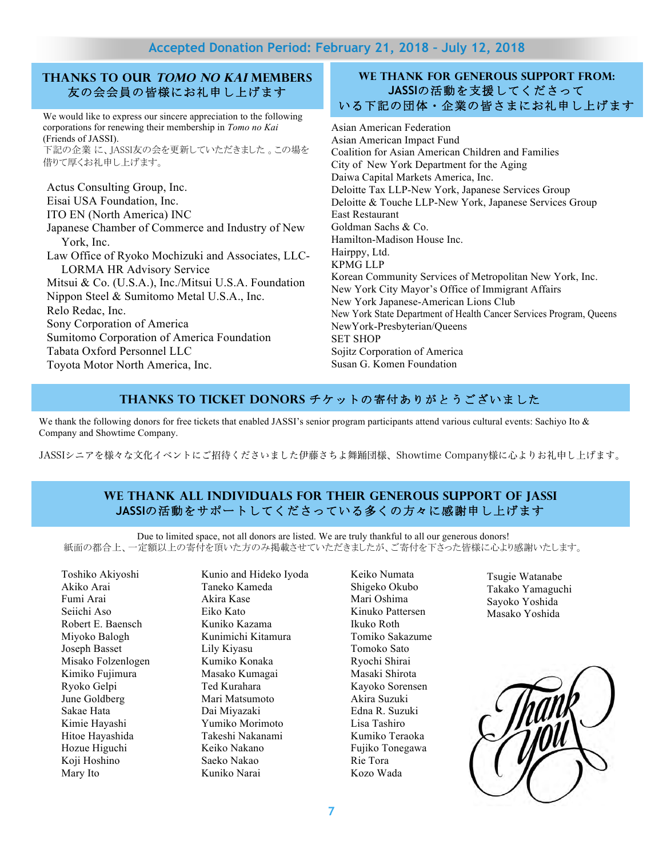# **Accepted Donation Period: February 21, 2018 – July 12, 2018**

# **Thanks to our Tomo no Kai Members** 友の会会員の皆様にお礼申し上げます

We would like to express our sincere appreciation to the following corporations for renewing their membership in *Tomo no Kai* (Friends of JASSI). 下記の企業 に、JASSI友の会を更新していただきました 。この場を

借りて厚くお礼申し上げます。

Actus Consulting Group, Inc. Eisai USA Foundation, Inc. ITO EN (North America) INC Japanese Chamber of Commerce and Industry of New York, Inc. Law Office of Ryoko Mochizuki and Associates, LLC-LORMA HR Advisory Service Mitsui & Co. (U.S.A.), Inc./Mitsui U.S.A. Foundation Nippon Steel & Sumitomo Metal U.S.A., Inc. Relo Redac, Inc. Sony Corporation of America Sumitomo Corporation of America Foundation Tabata Oxford Personnel LLC Toyota Motor North America, Inc.

## **We thank FOR generous support from: JASSI**の活動を支援してくださって いる下記の団体・企業の皆さまにお礼申し上げます

Asian American Federation Asian American Impact Fund Coalition for Asian American Children and Families City of New York Department for the Aging Daiwa Capital Markets America, Inc. Deloitte Tax LLP-New York, Japanese Services Group Deloitte & Touche LLP-New York, Japanese Services Group East Restaurant Goldman Sachs & Co. Hamilton-Madison House Inc. Hairppy, Ltd. KPMG LLP Korean Community Services of Metropolitan New York, Inc. New York City Mayor's Office of Immigrant Affairs New York Japanese-American Lions Club New York State Department of Health Cancer Services Program, Queens NewYork-Presbyterian/Queens SET SHOP Sojitz Corporation of America Susan G. Komen Foundation

# **Thanks to Ticket Donors** チケットの寄付ありがとうございました

We thank the following donors for free tickets that enabled JASSI's senior program participants attend various cultural events: Sachiyo Ito & Company and Showtime Company.

JASSIシニアを様々な文化イベントにご招待くださいました伊藤さちよ舞踊団様、Showtime Company様に心よりお礼申し上げます。

# **We thank all individuals for their generous support of JASSI JASSI**の活動をサポートしてくださっている多くの方々に感謝申し上げます

Due to limited space, not all donors are listed. We are truly thankful to all our generous donors! 紙面の都合上、一定額以上の寄付を頂いた方のみ掲載させていただきましたが、ご寄付を下さった皆様に心より感謝いたします。

Toshiko Akiyoshi Akiko Arai Fumi Arai Seiichi Aso Robert E. Baensch Miyoko Balogh Joseph Basset Misako Folzenlogen Kimiko Fujimura Ryoko Gelpi June Goldberg Sakae Hata Kimie Hayashi Hitoe Hayashida Hozue Higuchi Koji Hoshino Mary Ito

Kunio and Hideko Iyoda Taneko Kameda Akira Kase Eiko Kato Kuniko Kazama Kunimichi Kitamura Lily Kiyasu Kumiko Konaka Masako Kumagai Ted Kurahara Mari Matsumoto Dai Miyazaki Yumiko Morimoto Takeshi Nakanami Keiko Nakano Saeko Nakao Kuniko Narai

Keiko Numata Shigeko Okubo Mari Oshima Kinuko Pattersen Ikuko Roth Tomiko Sakazume Tomoko Sato Ryochi Shirai Masaki Shirota Kayoko Sorensen Akira Suzuki Edna R. Suzuki Lisa Tashiro Kumiko Teraoka Fujiko Tonegawa Rie Tora Kozo Wada

Tsugie Watanabe Takako Yamaguchi Sayoko Yoshida Masako Yoshida